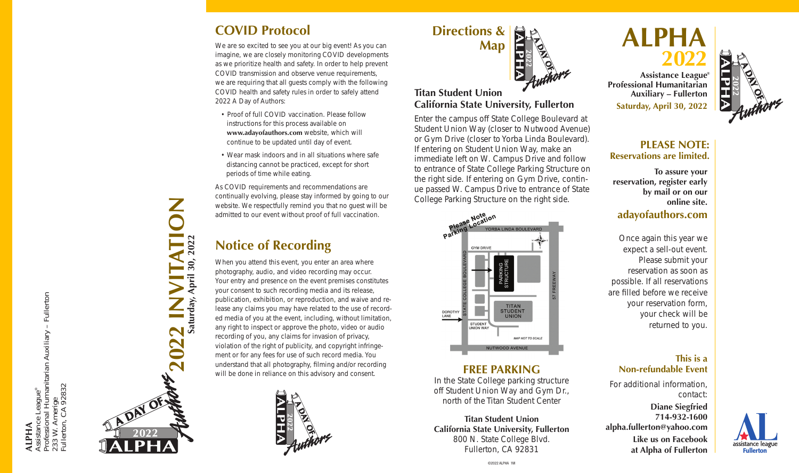## **COVID Protocol**

We are so excited to see you at our big event! As you can imagine, we are closely monitoring COVID developments as we prioritize health and safety. In order to help prevent COVID transmission and observe venue requirements, we are requiring that all guests comply with the following COVID health and safety rules in order to safely attend 2022 A Day of Authors:

- Proof of full COVID vaccination. Please follow instructions for this process available on **www.adayofauthors.com** website, which will continue to be updated until day of event.
- Wear mask indoors and in all situations where safe distancing cannot be practiced, except for short periods of time while eating.

As COVID requirements and recommendations are continually evolving, please stay informed by going to our website. We respectfully remind you that no guest will be admitted to our event without proof of full vaccination.

# **Notice of Recording**

When you attend this event, you enter an area where photography, audio, and video recording may occur. Your entry and presence on the event premises constitutes your consent to such recording media and its release, publication, exhibition, or reproduction, and waive and re lease any claims you may have related to the use of record ed media of you at the event, including, without limitation, any right to inspect or approve the photo, video or audio recording of you, any claims for invasion of privacy, violation of the right of publicity, and copyright infringe ment or for any fees for use of such record media. You understand that all photography, filming and/or recording will be done in reliance on this advisory and consent.



# **Directions & Map**

## **Titan Student Union California State University, Fullerton**

Enter the campus off State College Boulevard at Student Union Way (closer to Nutwood Avenue) or Gym Drive (closer to Yorba Linda Boulevard). If entering on Student Union Way, make an immediate left on W. Campus Drive and follow to entrance of State College Parking Structure on the right side. If entering on Gym Drive, contin ue passed W. Campus Drive to entrance of State College Parking Structure on the right side.



## **FREE PARKING**

In the State College parking structure off Student Union Way and Gym Dr., north of the Titan Student Center

**Titan Student Union California State University, Fullerton** 800 N. State College Blvd. Fullerton, CA 92831

#### **ALPH A 2 0 2 2**

**® Assistance League Professional Humanitarian Auxiliary – Fullerton Saturday, April 30, 2022**



## **PLEASE NOTE: Reservations are limited.**

**To assure your reservation, register early by mail or on our online site.**

## **adayofauthors.com**

Once again this year we expect a sell-out event. Please submit your reservation as soon as possible. If all reservations are filled before we receive your reservation form, your check will be returned to you.

## **This is a Non-refundable Event**

For additional information, contact:

**Diane Siegfried 714-932-1600 alpha.fullerton@yahoo.com Like us on Facebook at Alpha of Fullerton**



**2022 INVITATION Saturday, April 30, 2022**

202

**April** 

Saturday,

**ALPHA**

Assistance Leagu

ssistance League®<br>rofessional Humanitarian Auxiliary – Fullerton<br>33 W. Amerige<br>ullerton, CA 92832 Professional Humanitarian Auxiliary – Fullerton

233 W. Amerige Fullerton, CA 92832

:33 W. An<br>ullerton,